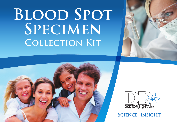# **Blood Spot Specimen Collection Kit**







**Science + Insight**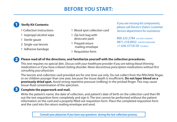# **Before You Start:**

- 1 Collection Instructions
- 1 Isopropyl alcohol wipe
- 1 Sterile gauze

 $\mathbf{2}$ 

3

- 2 Single-use lancets
- 1 Adhesive bandage
- 1 Blood spot collection card
- 1 Zip lock bag with desiccant pack
- 1 Prepaid return mailing envelope
- 1 Requisition form

1 **Verify Kit Contents:** *If you are missing kit components, please call Doctor's Data's Customer Service department for assistance.* 

> 800.323.2784 (US and Canada) 0871.218.0052 (United kingdom) +1.630.377.8139 (GLOBAL)

### **Please read all of the directions, and familiarize yourself with the collection procedures.**

This test requires no special diet. *Discuss with your healthcare provider if you are taking blood thinning medications or if you have a blood clotting disorder. Never discontinue prescription medications without first consulting your physician.*

The lancets and collection card provided are for one time use only. Do not collect from the fifth/little finger, or on children younger than one year, because the tissue depth is insufficient. **Do not layer blood on a previously dried spot.** Avoid strong repetitive pressure (milking) in the pricked finger. This may cause tissue-fluid contamination of the specimen.

## **Complete the paperwork and mail.**

Write the patient's name, the date of collection, and patient's date of birth on the collection card then fill out the test requisition form completely and sign it. The test cannot be performed without the patient information on the card and a properly filled out requisition form. Place the completed requisition form and the card into the return mailing envelope and send.

**Consult your physician if you have any questions during the test collection process.**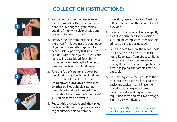# **COLLECTION INSTRUCTIONS:**









- **1.** Wash your hands under warm water for a few minutes. Dry your hands then cleanse outer edges of your middle and ring finger with alcohol wipe and dry with sterile gauze pad.
- **2.** Remove the cap from the lancet. Press the lancet firmly against the outer edge of your ring or middle finger until you hear a click. Wipe away first small drop of blood with sterile gauze. Lower your hand to increase blood flow. Gently massage the entire length of finger to form a large, hanging blood drop.
- **3.** Fold the flap of card up and away from the blood circles. Touch the blood drop to the center of a circle on the card. **Do not layer blood on a previously dried spot.** Blood should saturate through both sides of the card. The circles should look like the "acceptable" illustration shown on reverse.
- **4.** Repeat this procedure until the circles are filled with blood. If you are unable to get sufficient blood from the

collection, repeat from Step 1 using a different finger and the second lancet provided.

- **5.** Following the blood collection, gently press the gauze pad to the incision site until bleeding stops, then use the adhesive bandage as needed.
- **6.** Bend the card to allow the blood spots to air dry on both sides for at least 3 hours. Keep away from direct sunlight, moisture, and heat sources while drying. If the card is not completely dry before shipping, the samples may be unusable.
- **7.** After drying, close the flap. Place the card into the plastic zip lock bag with desiccant pack and seal. Place the sealed zip lock bag into the return mailing envelope along with the requisition form and mail. No postage is necessary worldwide.

**For best results, Doctor's Data recommends mailing specimens as soon as possible.**